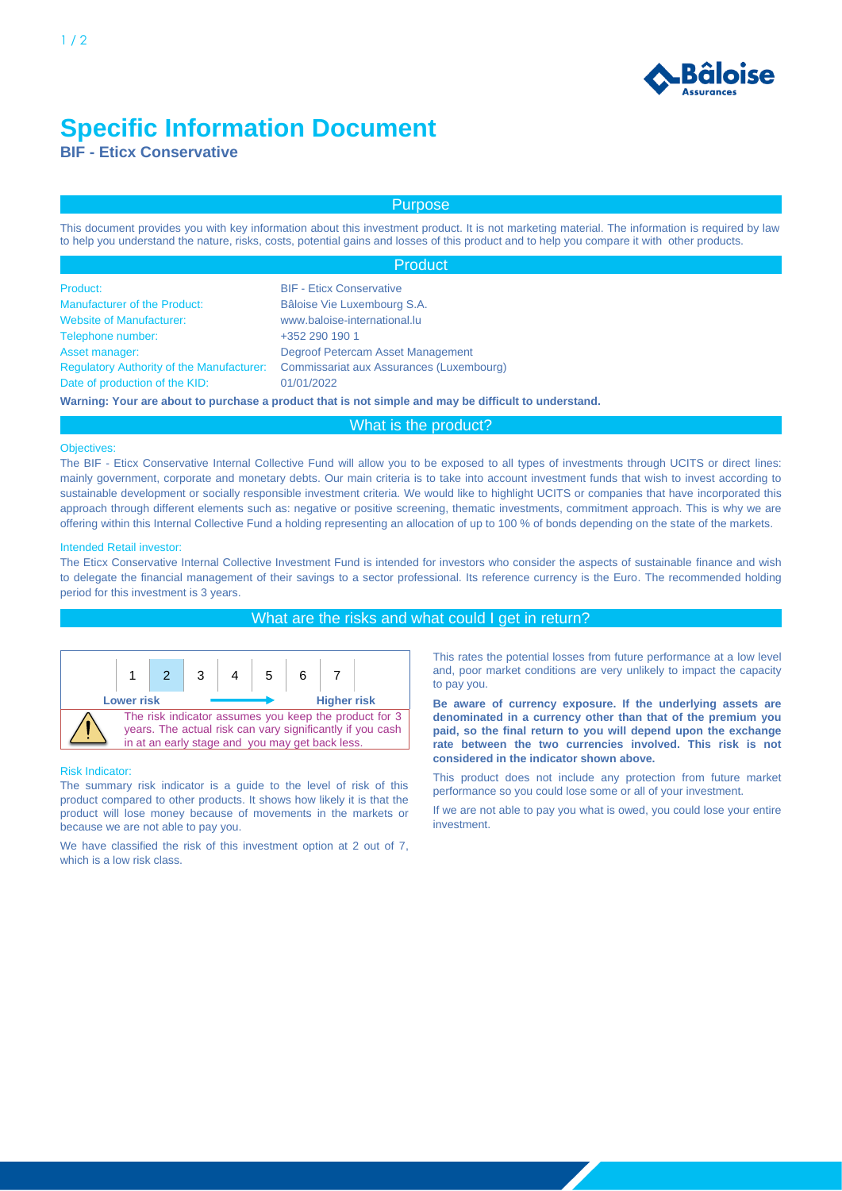

# **Specific Information Document**

**BIF - Eticx Conservative**

# Purpose

This document provides you with key information about this investment product. It is not marketing material. The information is required by law to help you understand the nature, risks, costs, potential gains and losses of this product and to help you compare it with other products.

|                                                  | Product                                                                                              |  |  |
|--------------------------------------------------|------------------------------------------------------------------------------------------------------|--|--|
| Product:                                         | <b>BIF - Eticx Conservative</b>                                                                      |  |  |
| <b>Manufacturer of the Product:</b>              | Bâloise Vie Luxembourg S.A.                                                                          |  |  |
| <b>Website of Manufacturer:</b>                  | www.baloise-international.lu                                                                         |  |  |
| Telephone number:                                | +352 290 190 1                                                                                       |  |  |
| Asset manager:                                   | Degroof Petercam Asset Management                                                                    |  |  |
| <b>Regulatory Authority of the Manufacturer:</b> | Commissariat aux Assurances (Luxembourg)                                                             |  |  |
| Date of production of the KID:                   | 01/01/2022                                                                                           |  |  |
|                                                  | Warning: Your are about to purchase a product that is not simple and may be difficult to understand. |  |  |

# What is the product?

#### Objectives:

The BIF - Eticx Conservative Internal Collective Fund will allow you to be exposed to all types of investments through UCITS or direct lines: mainly government, corporate and monetary debts. Our main criteria is to take into account investment funds that wish to invest according to sustainable development or socially responsible investment criteria. We would like to highlight UCITS or companies that have incorporated this approach through different elements such as: negative or positive screening, thematic investments, commitment approach. This is why we are offering within this Internal Collective Fund a holding representing an allocation of up to 100 % of bonds depending on the state of the markets.

### Intended Retail investor:

The Eticx Conservative Internal Collective Investment Fund is intended for investors who consider the aspects of sustainable finance and wish to delegate the financial management of their savings to a sector professional. Its reference currency is the Euro. The recommended holding period for this investment is 3 years.

## What are the risks and what could I get in return?



#### Risk Indicator:

The summary risk indicator is a guide to the level of risk of this product compared to other products. It shows how likely it is that the product will lose money because of movements in the markets or because we are not able to pay you.

We have classified the risk of this investment option at 2 out of 7, which is a low risk class.

This rates the potential losses from future performance at a low level and, poor market conditions are very unlikely to impact the capacity to pay you.

**Be aware of currency exposure. If the underlying assets are denominated in a currency other than that of the premium you paid, so the final return to you will depend upon the exchange rate between the two currencies involved. This risk is not considered in the indicator shown above.**

This product does not include any protection from future market performance so you could lose some or all of your investment.

If we are not able to pay you what is owed, you could lose your entire investment.